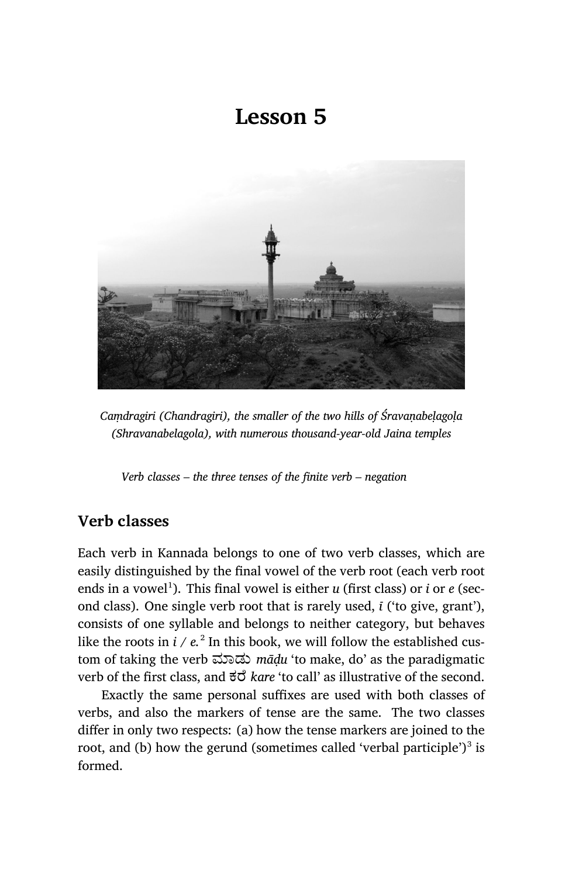# **Lesson 5**



*Caṃdragiri (Chandragiri), the smaller of the two hills of Śravaṇabeḷagoḷa (Shravanabelagola), with numerous thousand-year-old Jaina temples*

*Verb classes – the three tenses of the finite verb – negation*

# **Verb classes**

Each verb in Kannada belongs to one of two verb classes, which are easily distinguished by the final vowel of the verb root (each verb root ends in a vowel<sup>1</sup>). This final vowel is either *u* (first class) or *i* or *e* (second class). One single verb root that is rarely used, *ī* ('to give, grant'), consists of one syllable and belongs to neither category, but behaves like the roots in  $i$  /  $e$ .<sup>2</sup> In this book, we will follow the established custom of taking the verb ಮಾಡು *mādu* 'to make, do' as the paradigmatic verb of the first class, and  $\vec{\sigma}$  *kare* 'to call' as illustrative of the second.

Exactly the same personal suffixes are used with both classes of verbs, and also the markers of tense are the same. The two classes differ in only two respects: (a) how the tense markers are joined to the root, and (b) how the gerund (sometimes called 'verbal participle') $^3$  is formed.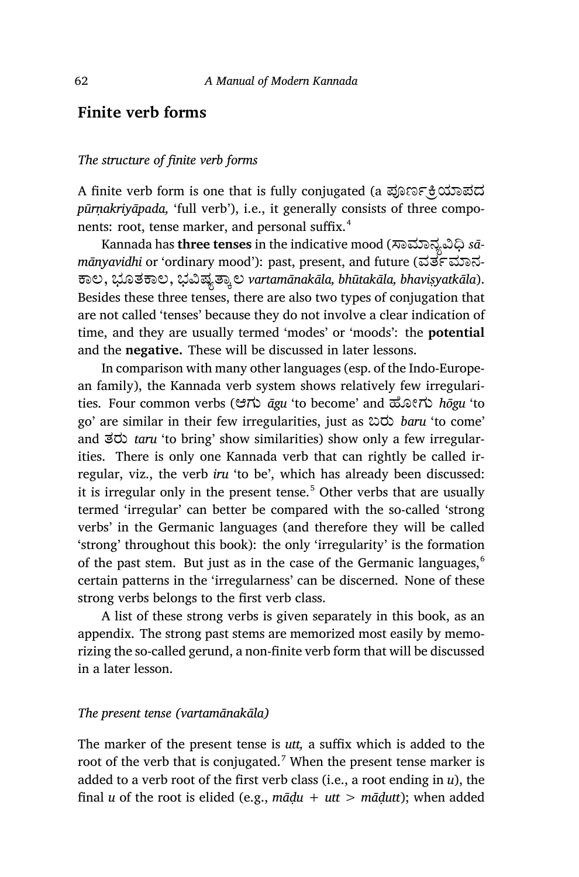# **Finite verb forms**

#### *The structure of finite verb forms*

A finite verb form is one that is fully conjugated (a ಪೂರ್ಣಕ್ರಿಯಾಪದ *pūrṇakriyāpada,* 'full verb'), i.e., it generally consists of three components: root, tense marker, and personal suffix.<sup>4</sup>

Kannada has three tenses in the indicative mood (ಸಾಮಾನ್ಯವಿಧಿ *sāmānyavidhi* or 'ordinary mood'): past, present, and future (ವರ್ತಮಾನ-ಾಲ, ಭೂತಾಲ, ಭīಷ½ಾ¤ಲ *vartamānakāla, bhūtakāla, bhaviṣyatkāla*). Besides these three tenses, there are also two types of conjugation that are not called 'tenses' because they do not involve a clear indication of time, and they are usually termed 'modes' or 'moods': the **potential** and the **negative.** These will be discussed in later lessons.

In comparison with many other languages (esp. of the Indo-European family), the Kannada verb system shows relatively few irregularities. Four common verbs (ಆಗು *āgu* 'to become' and ¢ೋಗು *hōgu* 'to go' are similar in their few irregularities, just as ಬರು *baru* 'to come' and ತರು *taru* 'to bring' show similarities) show only a few irregularities. There is only one Kannada verb that can rightly be called irregular, viz., the verb *iru* 'to be', which has already been discussed: it is irregular only in the present tense.<sup>5</sup> Other verbs that are usually termed 'irregular' can better be compared with the so-called 'strong verbs' in the Germanic languages (and therefore they will be called 'strong' throughout this book): the only 'irregularity' is the formation of the past stem. But just as in the case of the Germanic languages, $<sup>6</sup>$ </sup> certain patterns in the 'irregularness' can be discerned. None of these strong verbs belongs to the first verb class.

A list of these strong verbs is given separately in this book, as an appendix. The strong past stems are memorized most easily by memorizing the so-called gerund, a non-finite verb form that will be discussed in a later lesson.

#### *The present tense (vartamānakāla)*

The marker of the present tense is *utt,* a suffix which is added to the root of the verb that is conjugated.<sup>7</sup> When the present tense marker is added to a verb root of the first verb class (i.e., a root ending in *u*), the final *u* of the root is elided (e.g.,  $m\bar{a}du + ut > m\bar{a}du$ ); when added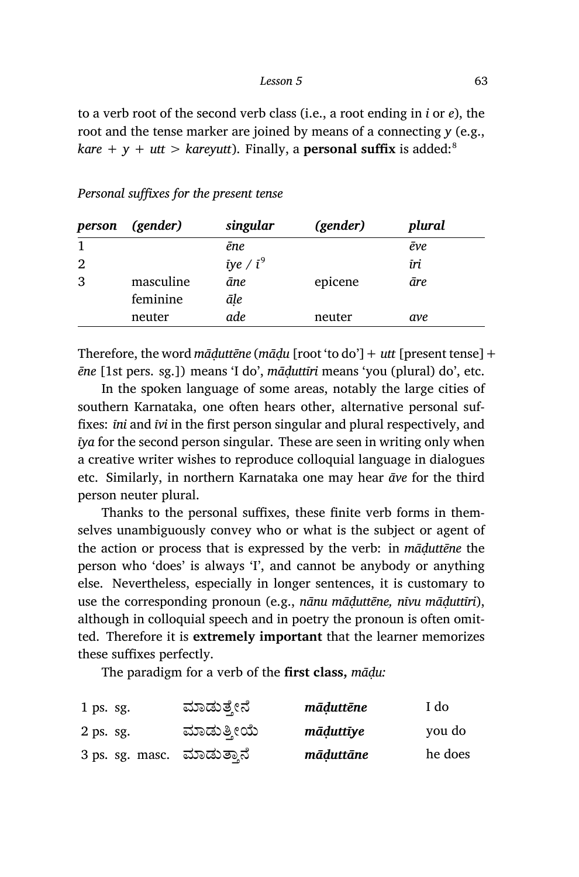to a verb root of the second verb class (i.e., a root ending in *i* or *e*), the root and the tense marker are joined by means of a connecting *y* (e.g., *kare* +  $y$  + *utt* > *kareyutt*). Finally, a **personal suffix** is added:<sup>8</sup>

#### *Personal suffixes for the present tense*

| person | (gender)  | singular          | (gender) | plural      |
|--------|-----------|-------------------|----------|-------------|
| 1      |           | ēne               |          | $\bar{e}ve$ |
| 2      |           | $\bar{i}ye / i^9$ |          | īri         |
| 3      | masculine | āne               | epicene  | āre         |
|        | feminine  | āḷe               |          |             |
|        | neuter    | ade               | neuter   | ave         |

Therefore, the word *māḍuttēne* (*māḍu* [root 'to do']+ *utt* [present tense]+ *ēne* [1st pers. sg.]) means 'I do', *māḍuttīri* means 'you (plural) do', etc.

In the spoken language of some areas, notably the large cities of southern Karnataka, one often hears other, alternative personal suffixes: *īni* and *īvi* in the first person singular and plural respectively, and *īya* for the second person singular. These are seen in writing only when a creative writer wishes to reproduce colloquial language in dialogues etc. Similarly, in northern Karnataka one may hear *āve* for the third person neuter plural.

Thanks to the personal suffixes, these finite verb forms in themselves unambiguously convey who or what is the subject or agent of the action or process that is expressed by the verb: in *māḍuttēne* the person who 'does' is always 'I', and cannot be anybody or anything else. Nevertheless, especially in longer sentences, it is customary to use the corresponding pronoun (e.g., *nānu māḍuttēne, nīvu māḍuttīri*), although in colloquial speech and in poetry the pronoun is often omitted. Therefore it is **extremely important** that the learner memorizes these suffixes perfectly.

The paradigm for a verb of the **first class,** *māḍu:*

| $1$ ps. sg.                | ಮಾಡುತ್ತೇನೆ | māduttēne | I do    |
|----------------------------|------------|-----------|---------|
| $2$ ps. sg.                | ಮಾಡುತ್ತೀಯೆ | māduttīye | you do  |
| 3 ps. sg. masc. ಮಾಡುತ್ತಾನೆ |            | māduttāne | he does |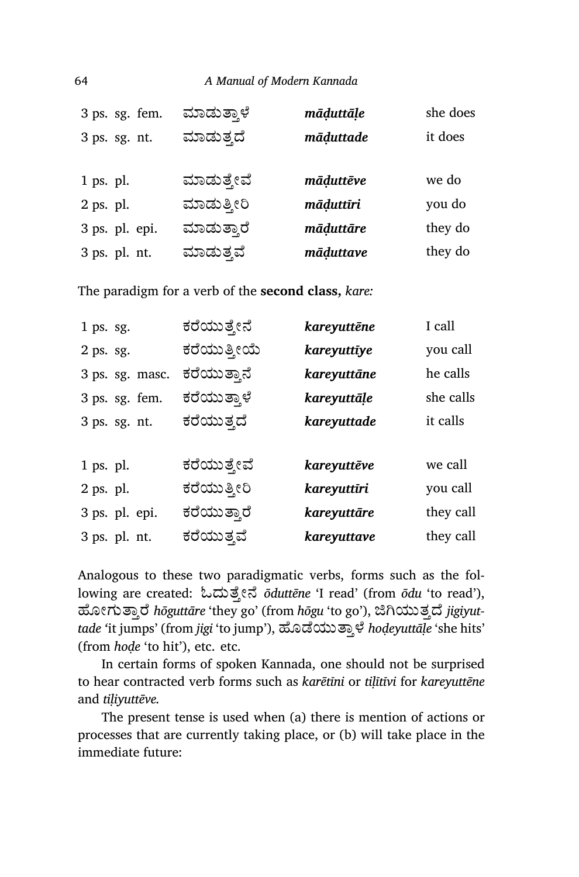|           | 3 ps. sg. fem. | ಮಾಡುತ್ತಾಳೆ | māḍuttāḷe | she does |
|-----------|----------------|------------|-----------|----------|
|           | 3 ps. sg. nt.  | ಮಾಡುತ್ತದೆ  | māduttade | it does  |
|           |                |            |           |          |
| 1 ps. pl. |                | ಮಾಡುತ್ತೇವೆ | māduttēve | we do    |
| 2 ps. pl. |                | ಮಾಡುತ್ತೀರಿ | māduttīri | you do   |
|           | 3 ps. pl. epi. | ಮಾಡುತ್ತಾರೆ | māduttāre | they do  |
|           | 3 ps. pl. nt.  | ಮಾಡುತ್ತವೆ  | māduttave | they do  |

The paradigm for a verb of the **second class,** *kare:*

| $1$ ps. sg.     | ಕರೆಯುತ್ತೇನೆ | kareyuttēne | I call    |
|-----------------|-------------|-------------|-----------|
| 2 ps. sg.       | ಕರೆಯುತ್ತೀಯೆ | kareyuttīye | you call  |
| 3 ps. sg. masc. | ಕರೆಯುತ್ತಾನೆ | kareyuttāne | he calls  |
| 3 ps. sg. fem.  | ಕರೆಯುತ್ತಾಳೆ | kareyuttāļe | she calls |
| 3 ps. sg. nt.   | ಕರೆಯುತ್ತದೆ  | kareyuttade | it calls  |
|                 |             |             |           |
| 1 ps. pl.       | ಕರೆಯುತ್ತೇವೆ | kareyuttēve | we call   |
| 2 ps. pl.       | ಕರೆಯುತ್ತೀರಿ | kareyuttīri | you call  |
| 3 ps. pl. epi.  | ಕರೆಯುತ್ತಾರೆ | kareyuttāre | they call |
| 3 ps. pl. nt.   | ಕರೆಯುತ್ತವೆ  | kareyuttave | they call |
|                 |             |             |           |

Analogous to these two paradigmatic verbs, forms such as the following are created: ಓದುೆ³ೕೆ *ōduttēne* 'I read' (from *ōdu* 'to read'), ಹೋಗುತ್ತಾರೆ *hōguttāre* 'they go' (from *hōgu* 'to go'), ಜಿಗಿಯುತ್ತದೆ *jigiyuttade '*it jumps' (from *jigi* 'to jump'), ¢ೊೆಯುಾ³ ೆ *hoḍeyuttāḷe* 'she hits' (from *hoḍe* 'to hit'), etc. etc.

In certain forms of spoken Kannada, one should not be surprised to hear contracted verb forms such as *karētīni* or *tiḷītīvi* for *kareyuttēne* and *tiḷiyuttēve.*

The present tense is used when (a) there is mention of actions or processes that are currently taking place, or (b) will take place in the immediate future: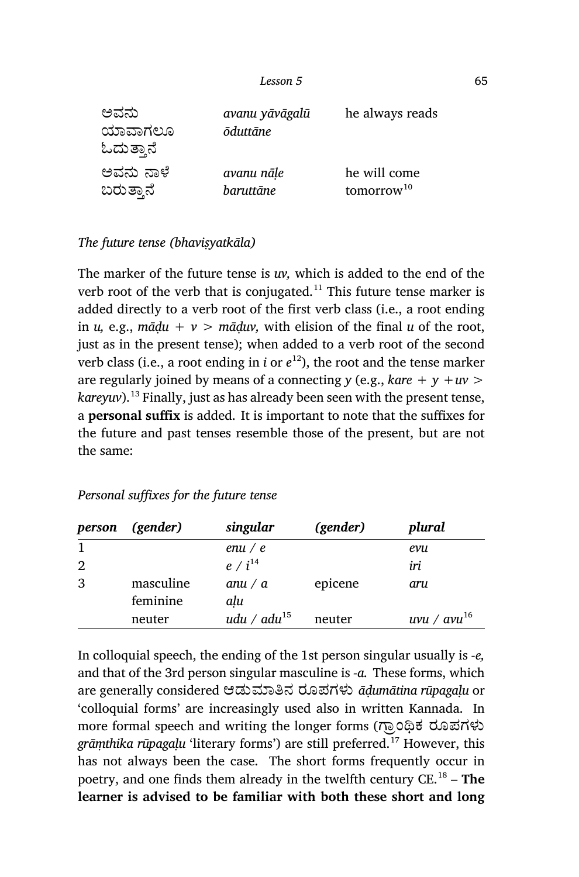| ಅವನು<br>ಯಾವಾಗಲೂ<br>ಓದುತ್ತಾನೆ | avanu yāvāgalū<br><b>ōduttāne</b> | he always reads        |
|------------------------------|-----------------------------------|------------------------|
| ಅವನು ನಾಳೆ                    | avanu nāle                        | he will come           |
| ಬರುತ್ತಾನೆ                    | baruttāne                         | tomorrow <sup>10</sup> |

# *The future tense (bhaviṣyatkāla)*

The marker of the future tense is *uv,* which is added to the end of the verb root of the verb that is conjugated.<sup>11</sup> This future tense marker is added directly to a verb root of the first verb class (i.e., a root ending in *u*, e.g.,  $m\bar{a}du + v > m\bar{a}duv$ , with elision of the final *u* of the root, just as in the present tense); when added to a verb root of the second verb class (i.e., a root ending in *i* or *e* <sup>12</sup>), the root and the tense marker are regularly joined by means of a connecting *y* (e.g., *kare + y +uv > kareyuv*).<sup>13</sup> Finally, just as has already been seen with the present tense, a **personal suffix** is added. It is important to note that the suffixes for the future and past tenses resemble those of the present, but are not the same:

| person       | (gender)              | singular          | (gender) | plural           |
|--------------|-----------------------|-------------------|----------|------------------|
| $\mathbf{1}$ |                       | en $u/e$          |          | evu              |
| 2            |                       | $e / i^{14}$      |          | iri              |
| 3            | masculine<br>feminine | anu / $a$<br>alu  | epicene  | aru              |
|              | neuter                | udu / adu $^{15}$ | neuter   | uvu / $avu^{16}$ |

# *Personal suffixes for the future tense*

In colloquial speech, the ending of the 1st person singular usually is *‑e,* and that of the 3rd person singular masculine is *‑a.* These forms, which are generally considered ಆಡುಾĖನ ರೂಪಗಳು *āḍumātina rūpagaḷu* or 'colloquial forms' are increasingly used also in written Kannada. In more formal speech and writing the longer forms (ಗ್ರಾಂಥಿಕ ರೂಪಗಳು *grāṃthika rūpagaḷu* 'literary forms') are still preferred.<sup>17</sup> However, this has not always been the case. The short forms frequently occur in poetry, and one finds them already in the twelfth century CE.<sup>18</sup> – **The learner is advised to be familiar with both these short and long**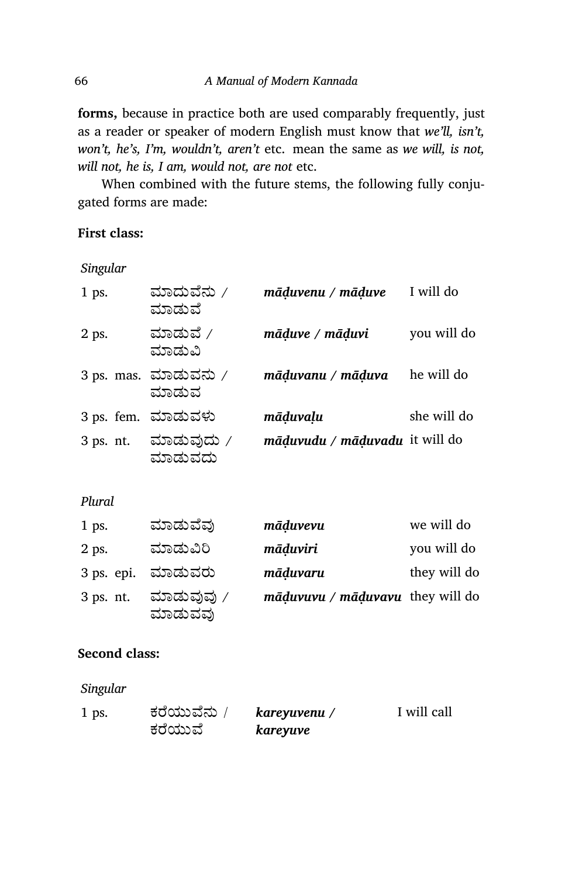**forms,** because in practice both are used comparably frequently, just as a reader or speaker of modern English must know that *we'll, isn't, won't, he's, I'm, wouldn't, aren't* etc. mean the same as *we will, is not, will not, he is, I am, would not, are not* etc.

When combined with the future stems, the following fully conjugated forms are made:

## **First class:**

*Singular*

| 1 ps.     | ಮಾದುವೆನು /<br>ಮಾಡುವೆ          | māduvenu / māduve              | I will do   |
|-----------|-------------------------------|--------------------------------|-------------|
| 2 ps.     | ಮಾಡುವೆ /<br>ಮಾಡುವಿ            | māduve / māduvi                | you will do |
|           | 3 ps. mas. ಮಾಡುವನು /<br>ಮಾಡುವ | māduvanu / māduva              | he will do  |
|           | 3 ps. fem. ಮಾಡುವಳು            | māduvalu                       | she will do |
| 3 ps. nt. | ಮಾಡುವುದು /<br>ಮಾಡುವದು         | māduvudu / māduvadu it will do |             |

### *Plural*

| $1$ ps.   | ಮಾಡುವೆವು              | māduvevu                         | we will do   |
|-----------|-----------------------|----------------------------------|--------------|
| 2 ps.     | ಮಾಡುವಿರಿ              | māduviri                         | you will do  |
|           | 3 ps. epi. ಮಾಡುವರು    | māduvaru                         | they will do |
| 3 ps. nt. | ಮಾಡುವುವು ∕<br>ಮಾಡುವವು | māduvuvu / māduvavu they will do |              |

### **Second class:**

*Singular*

| 1 ps. | ಕರೆಯುವೆನು / | kareyuvenu / | I will call |
|-------|-------------|--------------|-------------|
|       | ಕರೆಯುವೆ     | kareyuve     |             |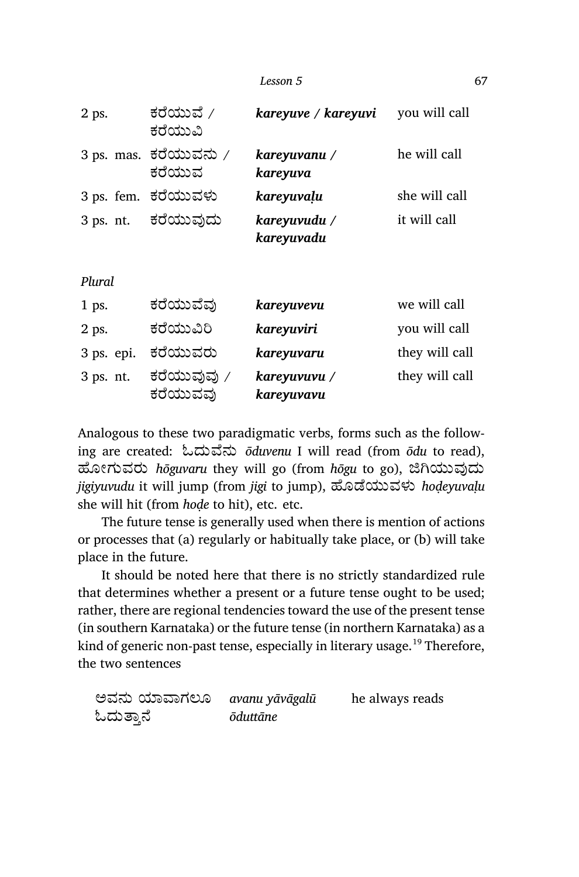*Lesson 5* 67

| 2 ps.      | ಕರೆಯುವೆ /<br>ಕರೆಯುವಿ            | kareyuve / kareyuvi        | you will call  |
|------------|---------------------------------|----------------------------|----------------|
|            | 3 ps. mas. ಕರೆಯುವನು /<br>ಕರೆಯುವ | kareyuvanu /<br>kareyuva   | he will call   |
|            | 3 ps. fem. ಕರೆಯುವಳು             | kareyuvaļu                 | she will call  |
| 3 ps. nt.  | ಕರೆಯುವುದು                       | kareyuvudu /<br>kareyuvadu | it will call   |
| Plural     |                                 |                            |                |
| 1 ps.      | ಕರೆಯುವೆವು                       | kareyuvevu                 | we will call   |
| 2 ps.      | ಕರೆಯುವಿರಿ                       | kareyuviri                 | you will call  |
| 3 ps. epi. | ಕರೆಯುವರು                        | kareyuvaru                 | they will call |
| 3 ps. nt.  | ಕರೆಯುವುವು ∕<br>ಕರೆಯುವವು         | kareyuvuvu /<br>kareyuvavu | they will call |

Analogous to these two paradigmatic verbs, forms such as the following are created: ಓದು¡ೆನು *ōduvenu* I will read (from *ōdu* to read), ಹೋಗುವರು *hōguvaru* they will go (from *hōgu* to go), ಜಿಗಿಯುವುದು *jigiyuvudu* it will jump (from *jigi* to jump), ¢ೊೆಯುವಳು *hoḍeyuvaḷu* she will hit (from *hoḍe* to hit), etc. etc.

The future tense is generally used when there is mention of actions or processes that (a) regularly or habitually take place, or (b) will take place in the future.

It should be noted here that there is no strictly standardized rule that determines whether a present or a future tense ought to be used; rather, there are regional tendencies toward the use of the present tense (in southern Karnataka) or the future tense (in northern Karnataka) as a kind of generic non-past tense, especially in literary usage.<sup>19</sup> Therefore, the two sentences

| ಅವನು ಯಾವಾಗಲೂ | avanu yāvāgalū | he always reads |
|--------------|----------------|-----------------|
| ಓದುತ್ತಾನೆ    | ōduttāne       |                 |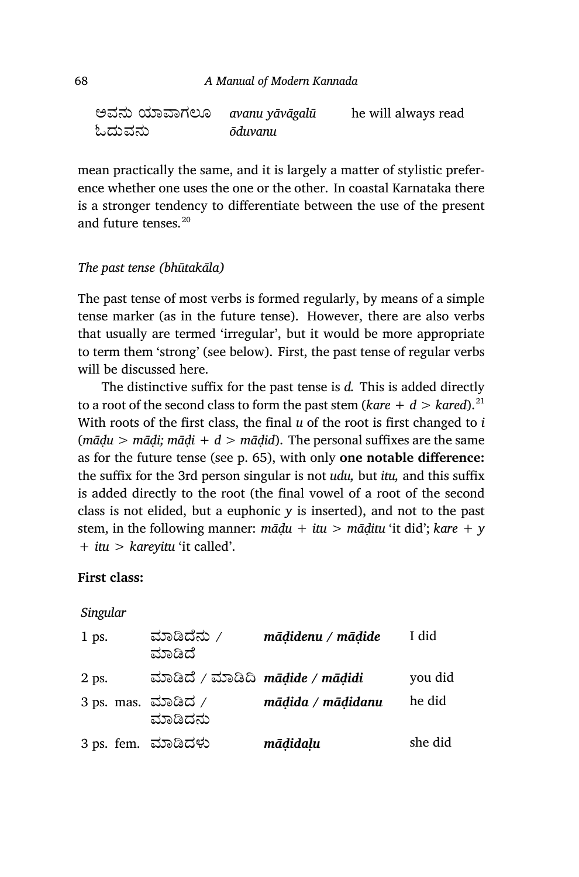| ಅವನು ಯಾವಾಗಲೂ | avanu yāvāgalū | he will always read |
|--------------|----------------|---------------------|
| ಓದುವನು       | ōduvanu        |                     |

mean practically the same, and it is largely a matter of stylistic preference whether one uses the one or the other. In coastal Karnataka there is a stronger tendency to differentiate between the use of the present and future tenses.<sup>20</sup>

## *The past tense (bhūtakāla)*

The past tense of most verbs is formed regularly, by means of a simple tense marker (as in the future tense). However, there are also verbs that usually are termed 'irregular', but it would be more appropriate to term them 'strong' (see below). First, the past tense of regular verbs will be discussed here.

The distinctive suffix for the past tense is *d.* This is added directly to a root of the second class to form the past stem ( $k$ *are* +  $d >$  *kared*).<sup>21</sup> With roots of the first class, the final *u* of the root is first changed to *i* (*māḍu > māḍi; māḍi + d > māḍid*). The personal suffixes are the same as for the future tense (see p. 65), with only **one notable difference:** the suffix for the 3rd person singular is not *udu,* but *itu,* and this suffix is added directly to the root (the final vowel of a root of the second class is not elided, but a euphonic *y* is inserted), and not to the past stem, in the following manner: *māḍu + itu > māḍitu* 'it did'; *kare + y + itu > kareyitu* 'it called'.

#### **First class:**

*Singular*

| $1$ ps. | ಮಾಡಿದೆನು /<br>ಮಾಡಿದೆ                              | mādidenu / mādide | I did   |
|---------|---------------------------------------------------|-------------------|---------|
| 2 ps.   | ಮಾಡಿದೆ / ಮಾಡಿದಿ $m\bar{a}$ dide / $m\bar{a}$ didi |                   | you did |
|         | 3 ps. mas. ಮಾಡಿದ /<br>ಮಾಡಿದನು                     | mādida / mādidanu | he did  |
|         | 3 ps. fem. ಮಾಡಿದಳು                                | mādidaļu          | she did |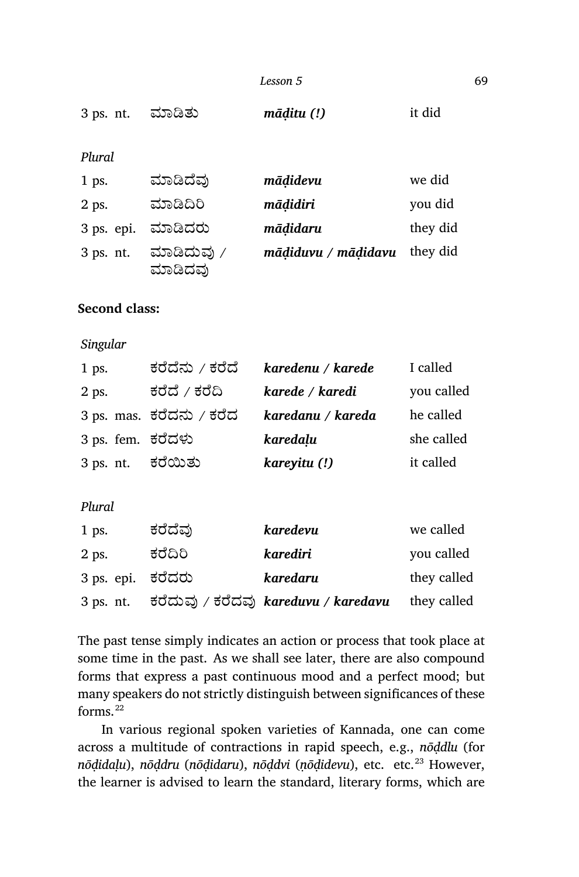| Lesson 5 | 69 |
|----------|----|
|          |    |

|  | 3 ps. nt. ಮಾಡಿತು | māḍitu (!) | it did |
|--|------------------|------------|--------|
|--|------------------|------------|--------|

*Plural*

| $1$ ps.   | ಮಾಡಿದೆವು              | mādidevu            | we did   |
|-----------|-----------------------|---------------------|----------|
| 2 ps.     | ಮಾಡಿದಿರಿ              | māḍidiri            | you did  |
|           | 3 ps. epi. ಮಾಡಿದರು    | mādidaru            | they did |
| 3 ps. nt. | ಮಾಡಿದುವು /<br>ಮಾಡಿದವು | mādiduvu / mādidavu | they did |

# **Second class:**

## *Singular*

| $1$ ps.           | ಕರೆದೆನು / ಕರೆದೆ          | karedenu / karede | I called   |
|-------------------|--------------------------|-------------------|------------|
| $2$ ps.           | ಕರೆದೆ / ಕರೆದಿ            | karede / karedi   | you called |
|                   | 3 ps. mas. ಕರೆದನು / ಕರೆದ | karedanu / kareda | he called  |
| 3 ps. fem. ಕರೆದಳು |                          | karedalu          | she called |
| 3 ps. nt.         | ಕರೆಯಿತು                  | kareyitu (!)      | it called  |

#### *Plural*

| $1$ ps.           | ಕರೆದೆವು | karedevu                             | we called   |
|-------------------|---------|--------------------------------------|-------------|
| 2 ps.             | ಕರೆದಿರಿ | karediri                             | you called  |
| 3 ps. epi. ಕರೆದರು |         | karedaru                             | they called |
| $3$ ps. nt.       |         | ಕರೆದುವು / ಕರೆದವು kareduvu / karedavu | they called |

The past tense simply indicates an action or process that took place at some time in the past. As we shall see later, there are also compound forms that express a past continuous mood and a perfect mood; but many speakers do not strictly distinguish between significances of these forms.<sup>22</sup>

In various regional spoken varieties of Kannada, one can come across a multitude of contractions in rapid speech, e.g., *nōḍdlu* (for *nōḍidaḷu*), *nōḍdru* (*nōḍidaru*), *nōḍdvi* (*ṇōḍidevu*), etc. etc.<sup>23</sup> However, the learner is advised to learn the standard, literary forms, which are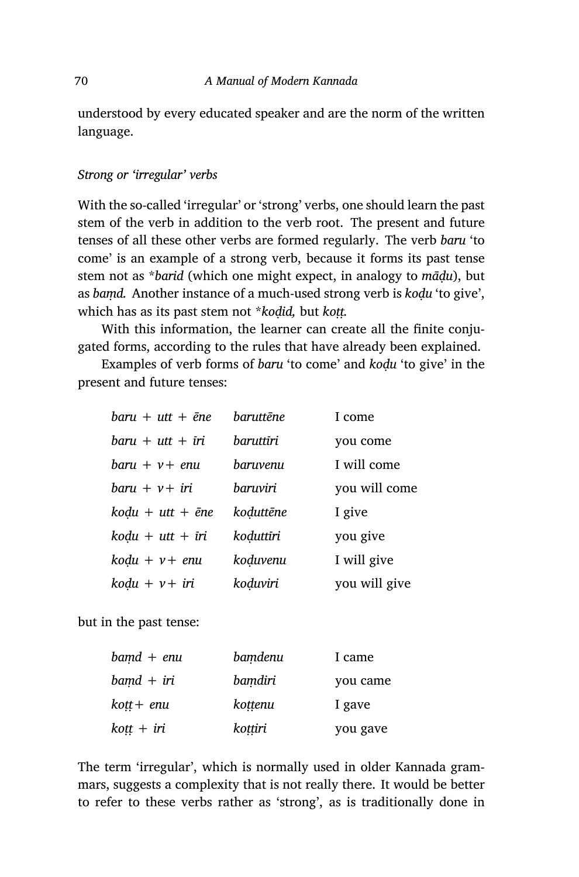understood by every educated speaker and are the norm of the written language.

## *Strong or 'irregular' verbs*

With the so-called 'irregular' or 'strong' verbs, one should learn the past stem of the verb in addition to the verb root. The present and future tenses of all these other verbs are formed regularly. The verb *baru* 'to come' is an example of a strong verb, because it forms its past tense stem not as \**barid* (which one might expect, in analogy to *māḍu*), but as *baṃd.* Another instance of a much-used strong verb is *koḍu* 'to give', which has as its past stem not \**kodid*, but *kott*.

With this information, the learner can create all the finite conjugated forms, according to the rules that have already been explained.

Examples of verb forms of *baru* 'to come' and *koḍu* 'to give' in the present and future tenses:

| $baru + utt + \bar{e}ne$ | baruttēne | I come        |
|--------------------------|-----------|---------------|
| $baru + utt + iri$       | baruttīri | you come      |
| $baru + v + enu$         | baruvenu  | I will come   |
| $baru + v + iri$         | baruviri  | you will come |
| $k$ odu + utt + ēne      | koduttēne | I give        |
| $k$ odu + utt + īri      | koduttīri | you give      |
| $k$ odu + $\nu$ + enu    | koduvenu  | I will give   |
| $k$ odu + $\nu$ + $i$ ri | koduviri  | you will give |

but in the past tense:

| $band + enu$  | bamdenu | I came   |
|---------------|---------|----------|
| $band + iri$  | bamdiri | you came |
| $k$ ott + enu | kottenu | I gave   |
| $k$ oṭṭ + iri | kottiri | you gave |

The term 'irregular', which is normally used in older Kannada grammars, suggests a complexity that is not really there. It would be better to refer to these verbs rather as 'strong', as is traditionally done in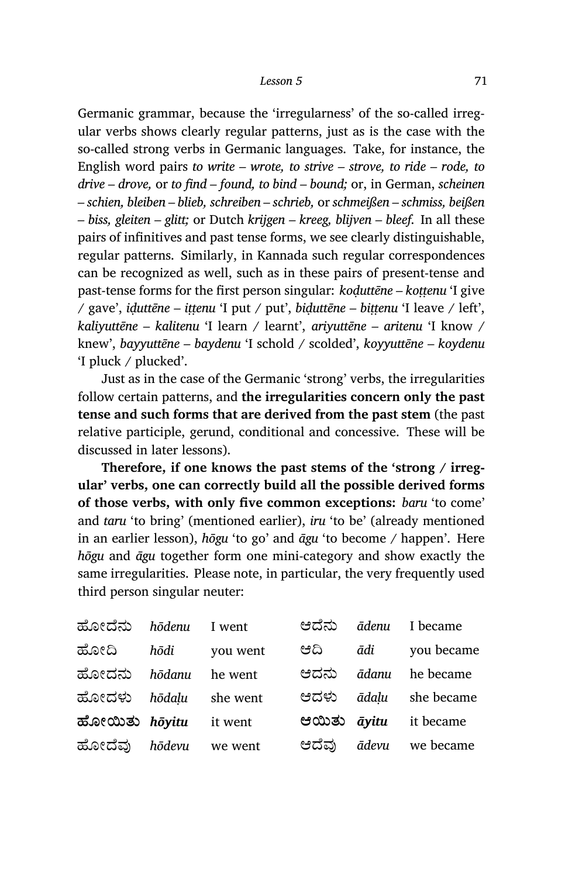Germanic grammar, because the 'irregularness' of the so-called irregular verbs shows clearly regular patterns, just as is the case with the so-called strong verbs in Germanic languages. Take, for instance, the English word pairs *to write – wrote, to strive – strove, to ride – rode, to drive – drove,* or *to find – found, to bind – bound;* or, in German, *scheinen – schien, bleiben – blieb, schreiben – schrieb,* or *schmeißen – schmiss, beißen – biss, gleiten – glitt;* or Dutch *krijgen – kreeg, blijven – bleef.* In all these pairs of infinitives and past tense forms, we see clearly distinguishable, regular patterns. Similarly, in Kannada such regular correspondences can be recognized as well, such as in these pairs of present-tense and past-tense forms for the first person singular: *koḍuttēne – koṭṭenu* 'I give / gave', *iḍuttēne – iṭṭenu* 'I put / put', *biḍuttēne – biṭṭenu* 'I leave / left', *kaliyuttēne – kalitenu* 'I learn / learnt', *ariyuttēne – aritenu* 'I know / knew', *bayyuttēne – baydenu* 'I schold / scolded', *koyyuttēne – koydenu* 'I pluck / plucked'.

Just as in the case of the Germanic 'strong' verbs, the irregularities follow certain patterns, and **the irregularities concern only the past tense and such forms that are derived from the past stem** (the past relative participle, gerund, conditional and concessive. These will be discussed in later lessons).

**Therefore, if one knows the past stems of the 'strong / irregular' verbs, one can correctly build all the possible derived forms of those verbs, with only five common exceptions:** *baru* 'to come' and *taru* 'to bring' (mentioned earlier), *iru* 'to be' (already mentioned in an earlier lesson), *hōgu* 'to go' and *āgu* 'to become / happen'. Here *hōgu* and *āgu* together form one mini-category and show exactly the same irregularities. Please note, in particular, the very frequently used third person singular neuter:

| ಹೋದೆನು               | hōdenu | I went   | ಆದೆನು       |       | ādenu I became               |
|----------------------|--------|----------|-------------|-------|------------------------------|
| ಹೋದಿ                 | hōdi   | you went | ಆದಿ         | ādi   | you became                   |
| ಹೋದನು                | hōdanu | he went  | ಆದನು        | ādanu | he became                    |
| ಹೋದಳು                | hōdalu | she went | ಆದಳು        | ādalu | she became                   |
| ಹೋಯಿತು <i>hōyitu</i> |        | it went  | ಆಯಿತು āyitu |       | it became                    |
| ಹೋದೆವು <i>hōdevu</i> |        | we went  |             |       | ಆದೆವು <i>ādevu</i> we became |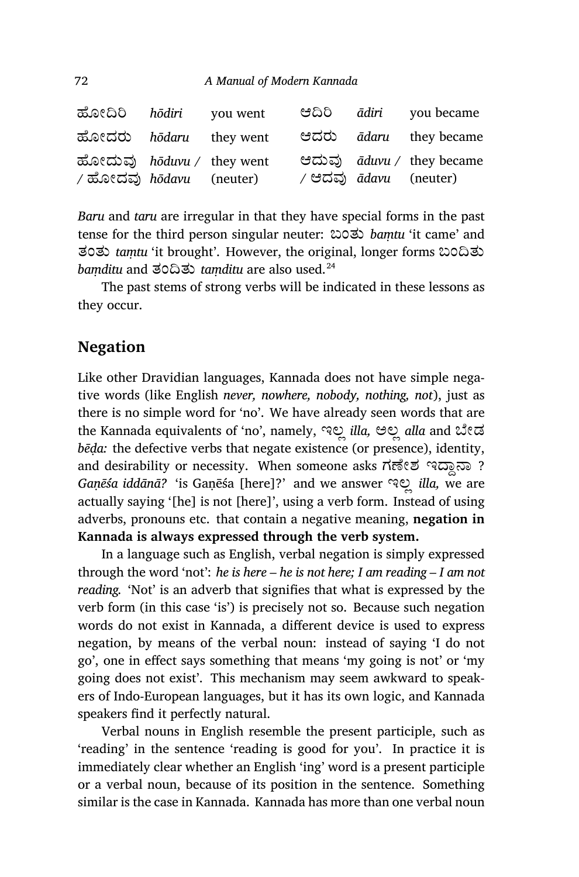| ಹೋದಿರಿ <i>hodiri</i> you went                               |  |                              | පධිරි <i>ādiri</i> you became |
|-------------------------------------------------------------|--|------------------------------|-------------------------------|
| ಹೋದರು hodaru they went                                      |  |                              | ಆದರು <i>ādaru</i> they became |
| ಹೋದುವು hoduvu / they went<br>/ ಹೋದವು <i>hōdavu</i> (neuter) |  | / ಆದವು <i>ādavu</i> (neuter) | ಆದುವು aduvu / they became     |

*Baru* and *taru* are irregular in that they have special forms in the past tense for the third person singular neuter: ಬಂತು *baṃtu* 'it came' and ತಂತು *taṃtu* 'it brought'. However, the original, longer forms ಬಂĘತು *baṃditu* and ತಂĘತು *taṃ ditu* are also used.<sup>24</sup>

The past stems of strong verbs will be indicated in these lessons as they occur.

# **Negation**

Like other Dravidian languages, Kannada does not have simple negative words (like English *never, nowhere, nobody, nothing, not*), just as there is no simple word for 'no'. We have already seen words that are the Kannada equivalents of 'no', namely, ಇಲ್ಲ *illa,* ಅಲ್ಲ alla and ಬೇಡ *bēḍa:* the defective verbs that negate existence (or presence), identity, and desirability or necessity. When someone asks  $\vec{n}$ ৰ্লংছ পত্নে ? *Gaṇēśa iddānā?* 'is Gaṇēśa [here]?' and we answer ಇಲÀ *illa,* we are actually saying '[he] is not [here]', using a verb form. Instead of using adverbs, pronouns etc. that contain a negative meaning, **negation in Kannada is always expressed through the verb system.**

In a language such as English, verbal negation is simply expressed through the word 'not': *he is here – he is not here; I am reading – I am not reading.* 'Not' is an adverb that signifies that what is expressed by the verb form (in this case 'is') is precisely not so. Because such negation words do not exist in Kannada, a different device is used to express negation, by means of the verbal noun: instead of saying 'I do not go', one in effect says something that means 'my going is not' or 'my going does not exist'. This mechanism may seem awk ward to speakers of Indo-European languages, but it has its own logic, and Kannada speakers find it perfectly natural.

Verbal nouns in English resemble the present participle, such as 'reading' in the sentence 'reading is good for you'. In practice it is immediately clear whether an English 'ing' word is a present participle or a verbal noun, because of its position in the sentence. Something similar is the case in Kannada. Kannada has more than one verbal noun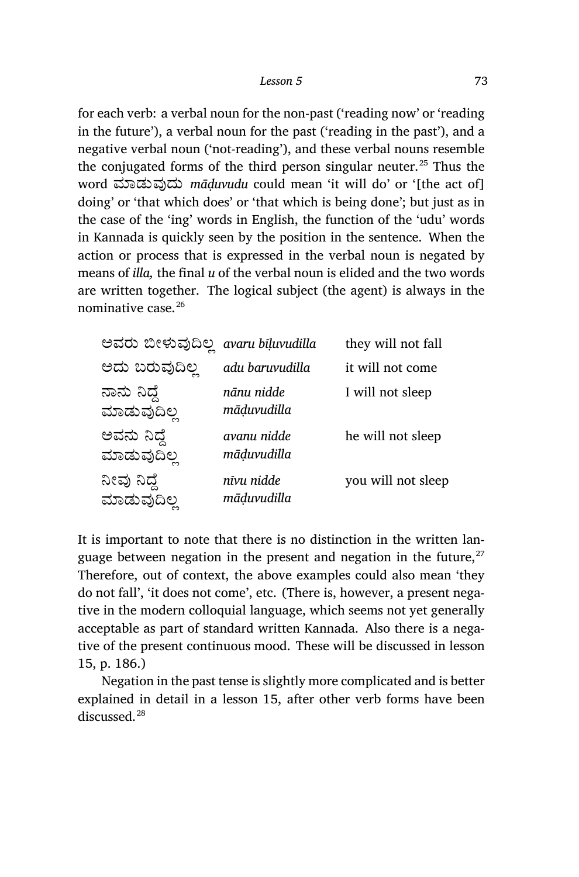for each verb: a verbal noun for the non-past ('reading now' or 'reading in the future'), a verbal noun for the past ('reading in the past'), and a negative verbal noun ('not-reading'), and these verbal nouns resemble the conjugated forms of the third person singular neuter.<sup>25</sup> Thus the word ಮಾಡುವುದು *māduvudu* could mean 'it will do' or '<sup>[the act of]</sup> doing' or 'that which does' or 'that which is being done'; but just as in the case of the 'ing' words in English, the function of the 'udu' words in Kannada is quickly seen by the position in the sentence. When the action or process that is expressed in the verbal noun is negated by means of *illa,* the final *u* of the verbal noun is elided and the two words are written together. The logical subject (the agent) is always in the nominative case.<sup>26</sup>

| ಅವರು ಬೀಳುವುದಿಲ್ಲ           | avaru bīļuvudilla          | they will not fall |
|----------------------------|----------------------------|--------------------|
| ಅದು ಬರುವುದಿಲ್ಲ             | adu baruvudilla            | it will not come   |
| ನಾನು ನಿದ್ದೆ<br>ಮಾಡುವುದಿಲ್ಲ | nānu nidde<br>māduvudilla  | I will not sleep   |
| ಅವನು ನಿದ್ದೆ<br>ಮಾಡುವುದಿಲ್ಲ | avanu nidde<br>māḍuvudilla | he will not sleep  |
| ನೀವು ನಿದ್ದೆ<br>ಮಾಡುವುದಿಲ್ಲ | nīvu nidde<br>māduvudilla  | you will not sleep |

It is important to note that there is no distinction in the written language between negation in the present and negation in the future, $^{27}$ Therefore, out of context, the above examples could also mean 'they do not fall', 'it does not come', etc. (There is, however, a present negative in the modern colloquial language, which seems not yet generally acceptable as part of standard written Kannada. Also there is a negative of the present continuous mood. These will be discussed in lesson 15, p. 186.)

Negation in the past tense is slightly more complicated and is better explained in detail in a lesson 15, after other verb forms have been discussed.<sup>28</sup>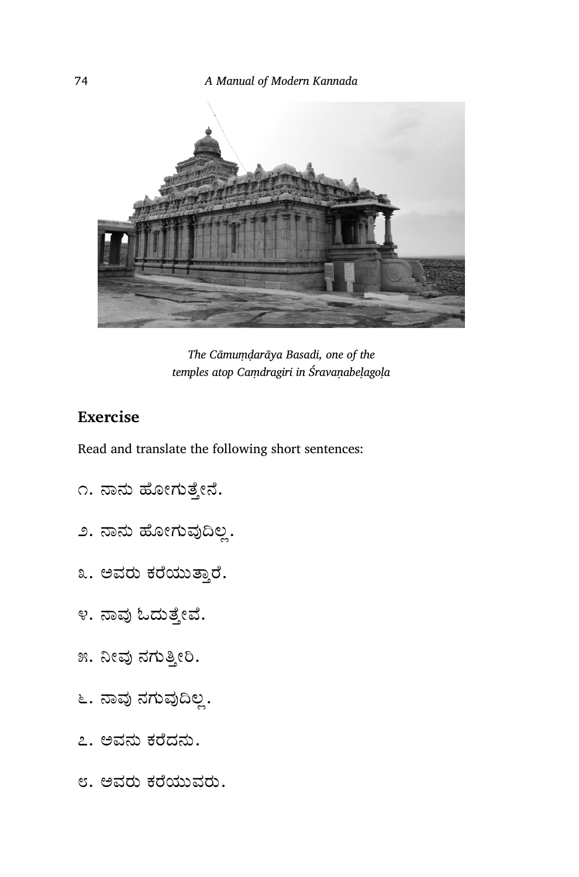

*The Cāmuṃḍarāya Basadi, one of the temples atop Caṃdragiri in Śravaṇabeḷagoḷa*

# **Exercise**

Read and translate the following short sentences:

- ೧. ನಾನು ಹೋಗುತ್ತೇನೆ.
- ೨. ನಾನು ಹೋಗುವುದಿಲ್ಲ.
- ೩. ಅವರು ಕರೆಯುತ್ತಾರೆ.
- ೪. ನಾವು ಓದುತ್ತೇವೆ.
- ೫. ನೀವು ನಗುತ್ತೀರಿ.
- ೬. ನಾವು ನಗುವುದಿಲ್ಲ.
- ೭. ಅವನು ಕೆದನು.
- ೮. ಅವರು ಕೆಯುವರು.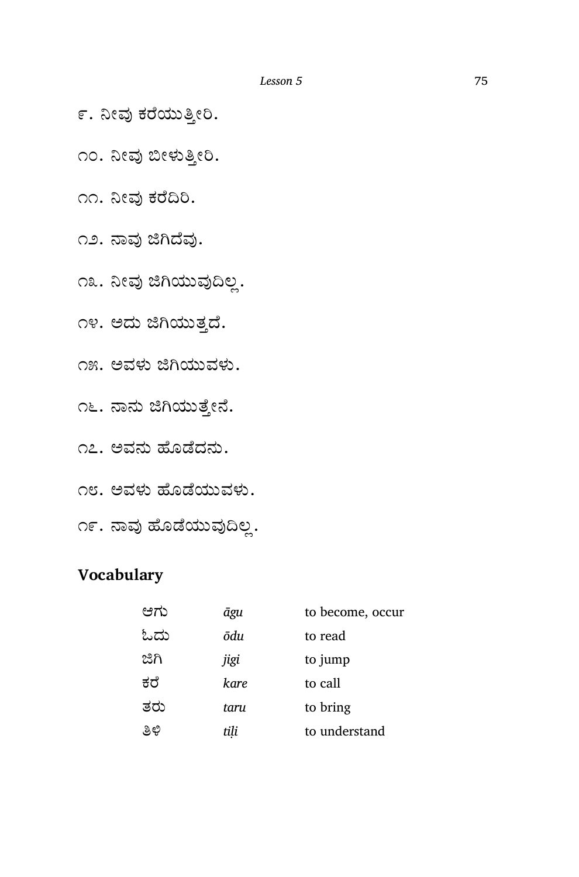- ೯. ನೀವು ಕರೆಯುತ್ತೀರಿ.
- ೧೦. ನೀವು ಬೀಳುತ್ತೀರಿ.
- ೧೧. ನೀವು ಕರೆದಿರಿ.
- ೧೨. ನಾವು ಜಿಗಿದೆವು.
- ೧೩. ನೀವು ಜಿಗಿಯುವುದಿಲ್ಲ.
- ೧೪. ಅದು ಜಿಗಿಯುತ್ತದೆ.
- ೧೫. ಅವಳು ಜಿಗಿಯುವಳು.
- ೧೬. ನಾನು ಜಿಗಿಯುತ್ತೇನೆ.
- ೧೭. ಅವನು ಹೊಡೆದನು.
- ೧೮. ಅವಳು ¢ೊೆಯುವಳು.
- ೧೯. ನಾವು ಹೊಡೆಯುವುದಿಲ್ಲ.

# **Vocabulary**

| ಆಗು  | āgu  | to become, occur |
|------|------|------------------|
| ಓದು  | ōdu  | to read          |
| ಜಿಗಿ | jigi | to jump          |
| ಕರೆ  | kare | to call          |
| ತರು  | taru | to bring         |
| ತಿಳಿ | tili | to understand    |
|      |      |                  |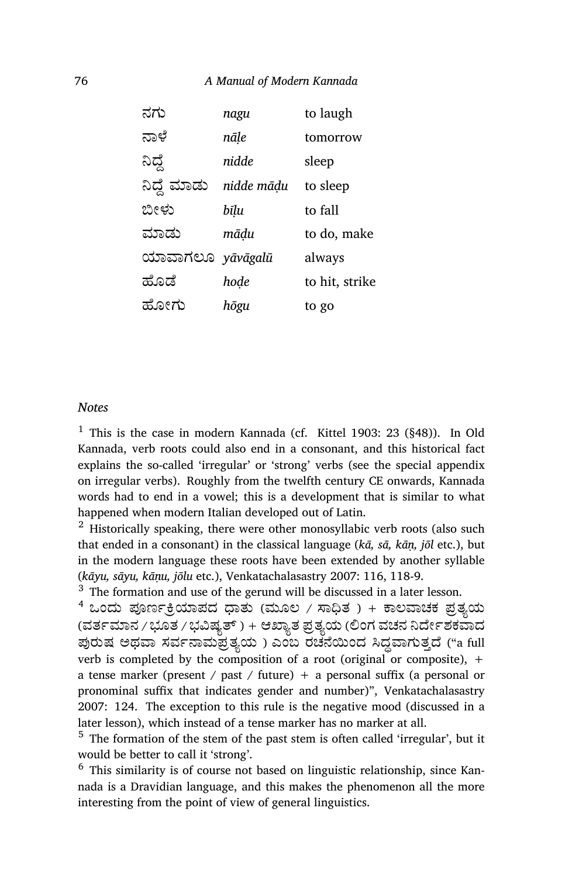| ನಗು                     | nagu       | to laugh       |
|-------------------------|------------|----------------|
| ನಾಳೆ                    | nāle       | tomorrow       |
| ನಿದ್ದೆ                  | nidde      | sleep          |
| ನಿದ್ದೆ ಮಾಡು             | nidde mādu | to sleep       |
| ಬೀಳು                    | bīlu       | to fall        |
| ಮಾಡು                    | mādu       | to do, make    |
| ಯಾವಾಗಲೂ <i>yāvāgalū</i> |            | always         |
| ಹೊಡೆ                    | hode       | to hit, strike |
| ಹೋಗು                    | hōgu       | to go          |

#### *Notes*

<sup>1</sup> This is the case in modern Kannada (cf. Kittel 1903: 23 (§48)). In Old Kannada, verb roots could also end in a consonant, and this historical fact explains the so-called 'irregular' or 'strong' verbs (see the special appendix on irregular verbs). Roughly from the twelfth century CE onwards, Kannada words had to end in a vowel; this is a development that is similar to what happened when modern Italian developed out of Latin.

 $2$  Historically speaking, there were other monosyllabic verb roots (also such that ended in a consonant) in the classical language (*kā, sā, kāṇ, jōl* etc.), but in the modern language these roots have been extended by another syllable (*kāyu, sāyu, kāṇu, jōlu* etc.), Venkatachalasastry 2007: 116, 118-9.

 $^3\,$  The formation and use of the gerund will be discussed in a later lesson.

 $4$  ಒಂದು ಪೂರ್ಣಕ್ರಿಯಾಪದ ಧಾತು (ಮೂಲ / ಸಾಧಿತ) + ಕಾಲವಾಚಕ ಪ್ರತ್ಯಯ (ವರ್ತಮಾನ / ಭೂತ / ಭವಿಷ್ಯತ್ ) + ಆಖ್ಯಾತ ಪ್ರತ್ಯಯ (ಲಿಂಗ ವಚನ ನಿರ್ದೇಶಕವಾದ ಪುರುಷ ಅಥವಾ ಸರ್ವನಾಮಪ್ರತ್ಯಯ ) ಎಂಬ ರಚನೆಯಿಂದ ಸಿದ್ದವಾಗುತ್ತದೆ ("a full verb is completed by the composition of a root (original or composite),  $+$ a tense marker (present / past / future) + a personal suffix (a personal or pronominal suffix that indicates gender and number)", Venkatachalasastry 2007: 124. The exception to this rule is the negative mood (discussed in a later lesson), which instead of a tense marker has no marker at all.

 $5$  The formation of the stem of the past stem is often called 'irregular', but it would be better to call it 'strong'.

 $6$  This similarity is of course not based on linguistic relationship, since Kannada is a Dravidian language, and this makes the phenomenon all the more interesting from the point of view of general linguistics.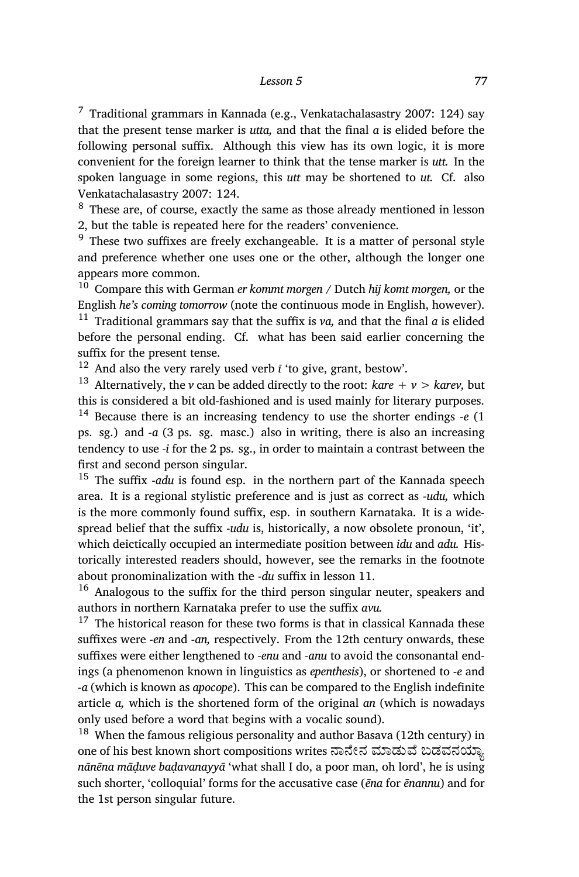#### *Lesson 5* 77

 $7$  Traditional grammars in Kannada (e.g., Venkatachalasastry 2007: 124) say that the present tense marker is *utta,* and that the final *a* is elided before the following personal suffix. Although this view has its own logic, it is more convenient for the foreign learner to think that the tense marker is *utt.* In the spoken language in some regions, this *utt* may be shortened to *ut.* Cf. also Venkatachalasastry 2007: 124.

<sup>8</sup> These are, of course, exactly the same as those already mentioned in lesson 2, but the table is repeated here for the readers' convenience.

 $9$  These two suffixes are freely exchangeable. It is a matter of personal style and preference whether one uses one or the other, although the longer one appears more common.

<sup>10</sup> Compare this with German *er kommt morgen* / Dutch *hij komt morgen,* or the English *he's coming tomorrow* (note the continuous mode in English, however). <sup>11</sup> Traditional grammars say that the suffix is *va,* and that the final *a* is elided before the personal ending. Cf. what has been said earlier concerning the suffix for the present tense.

<sup>12</sup> And also the very rarely used verb *ī* 'to give, grant, bestow'.

<sup>13</sup> Alternatively, the *v* can be added directly to the root: *kare* + *v* > *karev*, but this is considered a bit old-fashioned and is used mainly for literary purposes. <sup>14</sup> Because there is an increasing tendency to use the shorter endings *‑e* (1 ps. sg.) and *‑a* (3 ps. sg. masc.) also in writing, there is also an increasing tendency to use *‑i* for the 2 ps. sg., in order to maintain a contrast between the first and second person singular.

<sup>15</sup> The suffix ‑*adu* is found esp. in the northern part of the Kannada speech area. It is a regional stylistic preference and is just as correct as *‑udu,* which is the more commonly found suffix, esp. in southern Karnataka. It is a widespread belief that the suffix *-udu* is, historically, a now obsolete pronoun, 'it', which deictically occupied an intermediate position between *idu* and *adu.* Historically interested readers should, however, see the remarks in the footnote about pronominalization with the *‑du* suffix in lesson 11.

<sup>16</sup> Analogous to the suffix for the third person singular neuter, speakers and authors in northern Karnataka prefer to use the suffix *avu.*

 $17$  The historical reason for these two forms is that in classical Kannada these suffixes were *‑en* and *‑an,* respectively. From the 12th century onwards, these suffixes were either lengthened to *‑enu* and *‑anu* to avoid the consonantal endings (a phenomenon known in linguistics as *epenthesis*), or shortened to *‑e* and *‑a* (which is known as *apocope*). This can be compared to the English indefinite article *a,* which is the shortened form of the original *an* (which is nowadays only used before a word that begins with a vocalic sound).

 $18$  When the famous religious personality and author Basava (12th century) in one of his best known short compositions writes ನಾನೇನ ಮಾಡುವೆ ಬಡವನಯ್ಯಾ *nānēna māḍuve baḍavanayyā* 'what shall I do, a poor man, oh lord', he is using such shorter, 'colloquial' forms for the accusative case (*ēna* for *ēnannu*) and for the 1st person singular future.